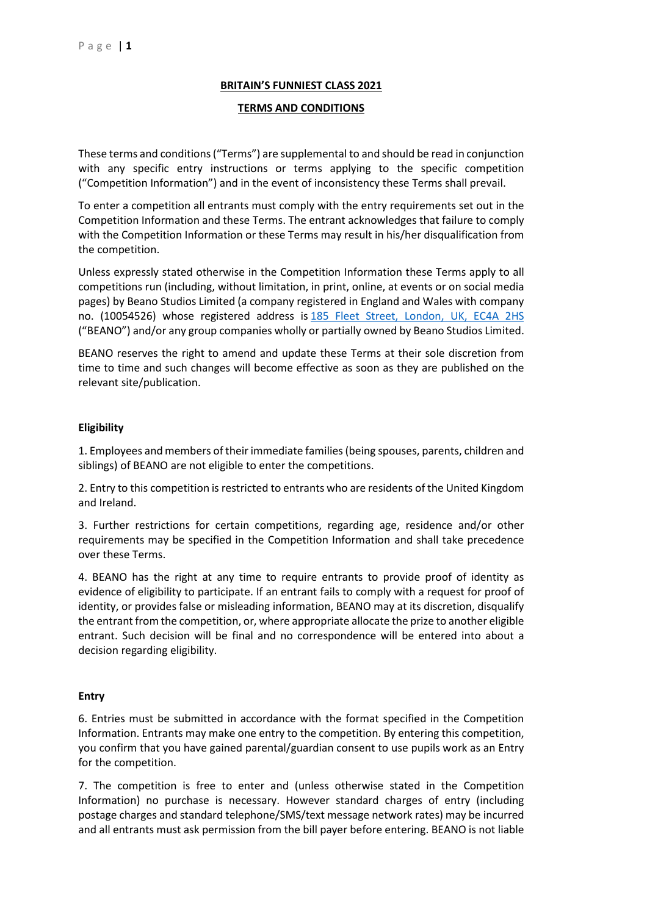## **BRITAIN'S FUNNIEST CLASS 2021**

#### **TERMS AND CONDITIONS**

These terms and conditions ("Terms") are supplemental to and should be read in conjunction with any specific entry instructions or terms applying to the specific competition ("Competition Information") and in the event of inconsistency these Terms shall prevail.

To enter a competition all entrants must comply with the entry requirements set out in the Competition Information and these Terms. The entrant acknowledges that failure to comply with the Competition Information or these Terms may result in his/her disqualification from the competition.

Unless expressly stated otherwise in the Competition Information these Terms apply to all competitions run (including, without limitation, in print, online, at events or on social media pages) by Beano Studios Limited (a company registered in England and Wales with company no. (10054526) whose registered address is [185 Fleet Street, London, UK, EC4A 2HS](https://maps.google.com/?q=185+Fleet+Street,+London,+UK,+EC4A+2HS&entry=gmail&source=g) ("BEANO") and/or any group companies wholly or partially owned by Beano Studios Limited.

BEANO reserves the right to amend and update these Terms at their sole discretion from time to time and such changes will become effective as soon as they are published on the relevant site/publication.

#### **Eligibility**

1. Employees and members of their immediate families (being spouses, parents, children and siblings) of BEANO are not eligible to enter the competitions.

2. Entry to this competition is restricted to entrants who are residents of the United Kingdom and Ireland.

3. Further restrictions for certain competitions, regarding age, residence and/or other requirements may be specified in the Competition Information and shall take precedence over these Terms.

4. BEANO has the right at any time to require entrants to provide proof of identity as evidence of eligibility to participate. If an entrant fails to comply with a request for proof of identity, or provides false or misleading information, BEANO may at its discretion, disqualify the entrant from the competition, or, where appropriate allocate the prize to another eligible entrant. Such decision will be final and no correspondence will be entered into about a decision regarding eligibility.

#### **Entry**

6. Entries must be submitted in accordance with the format specified in the Competition Information. Entrants may make one entry to the competition. By entering this competition, you confirm that you have gained parental/guardian consent to use pupils work as an Entry for the competition.

7. The competition is free to enter and (unless otherwise stated in the Competition Information) no purchase is necessary. However standard charges of entry (including postage charges and standard telephone/SMS/text message network rates) may be incurred and all entrants must ask permission from the bill payer before entering. BEANO is not liable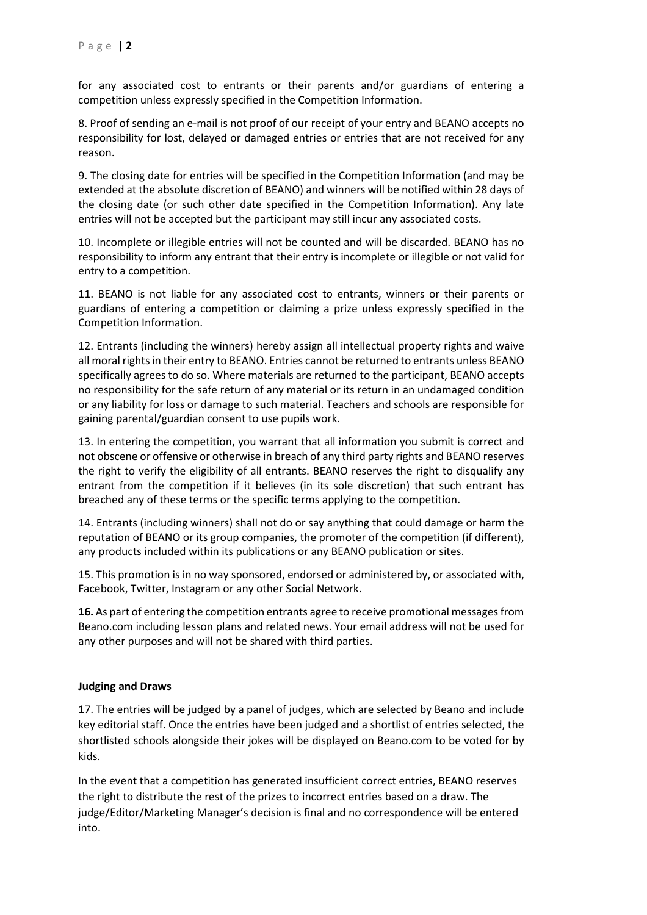for any associated cost to entrants or their parents and/or guardians of entering a competition unless expressly specified in the Competition Information.

8. Proof of sending an e-mail is not proof of our receipt of your entry and BEANO accepts no responsibility for lost, delayed or damaged entries or entries that are not received for any reason.

9. The closing date for entries will be specified in the Competition Information (and may be extended at the absolute discretion of BEANO) and winners will be notified within 28 days of the closing date (or such other date specified in the Competition Information). Any late entries will not be accepted but the participant may still incur any associated costs.

10. Incomplete or illegible entries will not be counted and will be discarded. BEANO has no responsibility to inform any entrant that their entry is incomplete or illegible or not valid for entry to a competition.

11. BEANO is not liable for any associated cost to entrants, winners or their parents or guardians of entering a competition or claiming a prize unless expressly specified in the Competition Information.

12. Entrants (including the winners) hereby assign all intellectual property rights and waive all moral rights in their entry to BEANO. Entries cannot be returned to entrants unless BEANO specifically agrees to do so. Where materials are returned to the participant, BEANO accepts no responsibility for the safe return of any material or its return in an undamaged condition or any liability for loss or damage to such material. Teachers and schools are responsible for gaining parental/guardian consent to use pupils work.

13. In entering the competition, you warrant that all information you submit is correct and not obscene or offensive or otherwise in breach of any third party rights and BEANO reserves the right to verify the eligibility of all entrants. BEANO reserves the right to disqualify any entrant from the competition if it believes (in its sole discretion) that such entrant has breached any of these terms or the specific terms applying to the competition.

14. Entrants (including winners) shall not do or say anything that could damage or harm the reputation of BEANO or its group companies, the promoter of the competition (if different), any products included within its publications or any BEANO publication or sites.

15. This promotion is in no way sponsored, endorsed or administered by, or associated with, Facebook, Twitter, Instagram or any other Social Network.

**16.** As part of entering the competition entrants agree to receive promotional messages from Beano.com including lesson plans and related news. Your email address will not be used for any other purposes and will not be shared with third parties.

## **Judging and Draws**

17. The entries will be judged by a panel of judges, which are selected by Beano and include key editorial staff. Once the entries have been judged and a shortlist of entries selected, the shortlisted schools alongside their jokes will be displayed on Beano.com to be voted for by kids.

In the event that a competition has generated insufficient correct entries, BEANO reserves the right to distribute the rest of the prizes to incorrect entries based on a draw. The judge/Editor/Marketing Manager's decision is final and no correspondence will be entered into.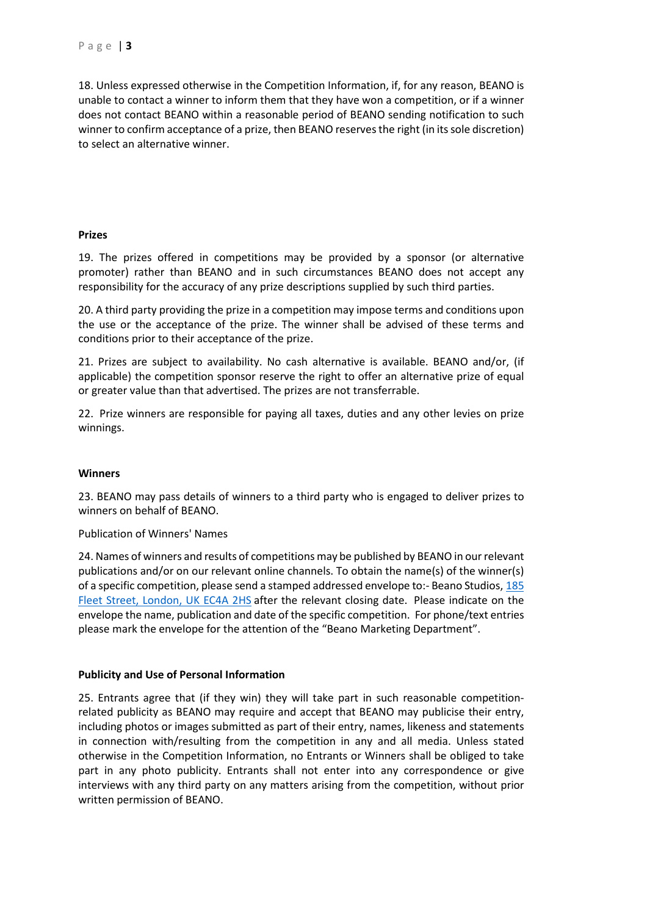18. Unless expressed otherwise in the Competition Information, if, for any reason, BEANO is unable to contact a winner to inform them that they have won a competition, or if a winner does not contact BEANO within a reasonable period of BEANO sending notification to such winner to confirm acceptance of a prize, then BEANO reserves the right (in its sole discretion) to select an alternative winner.

## **Prizes**

19. The prizes offered in competitions may be provided by a sponsor (or alternative promoter) rather than BEANO and in such circumstances BEANO does not accept any responsibility for the accuracy of any prize descriptions supplied by such third parties.

20. A third party providing the prize in a competition may impose terms and conditions upon the use or the acceptance of the prize. The winner shall be advised of these terms and conditions prior to their acceptance of the prize.

21. Prizes are subject to availability. No cash alternative is available. BEANO and/or, (if applicable) the competition sponsor reserve the right to offer an alternative prize of equal or greater value than that advertised. The prizes are not transferrable.

22. Prize winners are responsible for paying all taxes, duties and any other levies on prize winnings.

#### **Winners**

23. BEANO may pass details of winners to a third party who is engaged to deliver prizes to winners on behalf of BEANO.

Publication of Winners' Names

24. Names of winners and results of competitions may be published by BEANO in our relevant publications and/or on our relevant online channels. To obtain the name(s) of the winner(s) of a specific competition, please send a stamped addressed envelope to:- Beano Studios, [185](https://maps.google.com/?q=185+Fleet+Street,+London,+UK+EC4A+2HS&entry=gmail&source=g)  Fleet [Street, London, UK EC4A 2HS](https://maps.google.com/?q=185+Fleet+Street,+London,+UK+EC4A+2HS&entry=gmail&source=g) after the relevant closing date. Please indicate on the envelope the name, publication and date of the specific competition. For phone/text entries please mark the envelope for the attention of the "Beano Marketing Department".

## **Publicity and Use of Personal Information**

25. Entrants agree that (if they win) they will take part in such reasonable competitionrelated publicity as BEANO may require and accept that BEANO may publicise their entry, including photos or images submitted as part of their entry, names, likeness and statements in connection with/resulting from the competition in any and all media. Unless stated otherwise in the Competition Information, no Entrants or Winners shall be obliged to take part in any photo publicity. Entrants shall not enter into any correspondence or give interviews with any third party on any matters arising from the competition, without prior written permission of BEANO.